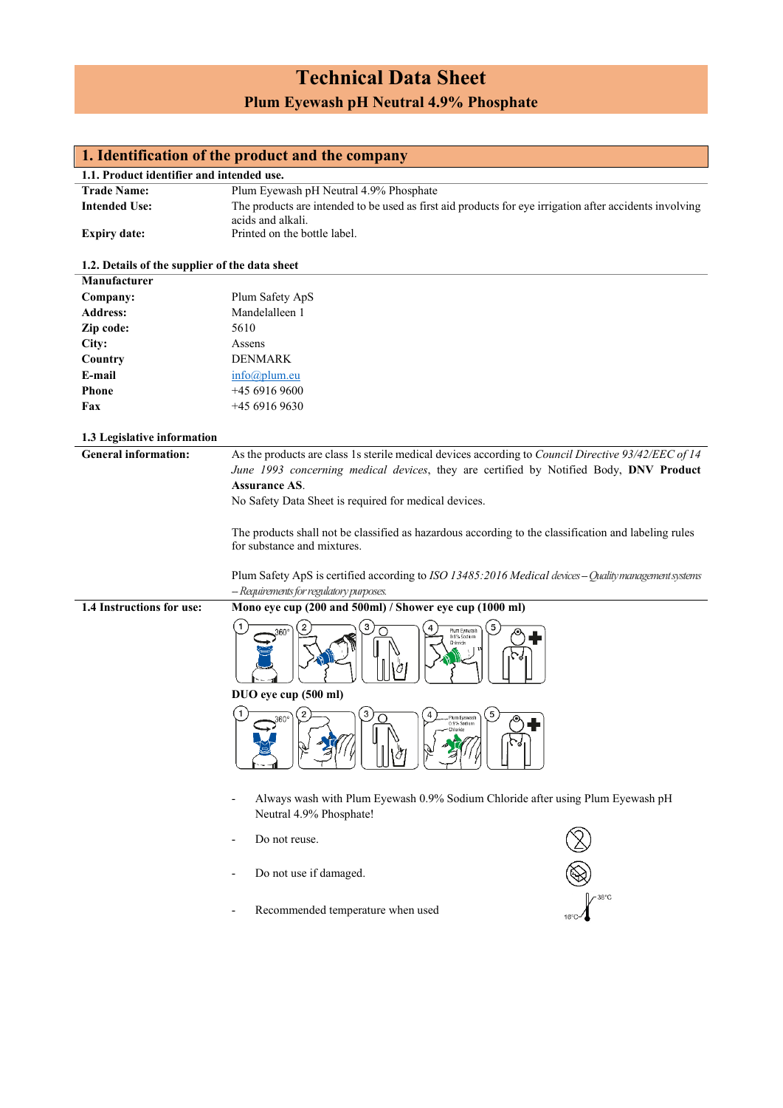# **Technical Data Sheet Plum Eyewash pH Neutral 4.9% Phosphate**

**1. Identification of the product and the company**

| 1.1. Product identifier and intended use.      |                                                                                                           |  |  |  |
|------------------------------------------------|-----------------------------------------------------------------------------------------------------------|--|--|--|
| <b>Trade Name:</b>                             | Plum Eyewash pH Neutral 4.9% Phosphate                                                                    |  |  |  |
| <b>Intended Use:</b>                           | The products are intended to be used as first aid products for eye irrigation after accidents involving   |  |  |  |
| <b>Expiry date:</b>                            | acids and alkali.<br>Printed on the bottle label.                                                         |  |  |  |
| 1.2. Details of the supplier of the data sheet |                                                                                                           |  |  |  |
| Manufacturer                                   |                                                                                                           |  |  |  |
| Company:                                       | Plum Safety ApS                                                                                           |  |  |  |
| <b>Address:</b>                                | Mandelalleen 1                                                                                            |  |  |  |
|                                                | 5610                                                                                                      |  |  |  |
| Zip code:                                      |                                                                                                           |  |  |  |
| City:                                          | Assens                                                                                                    |  |  |  |
| Country                                        | <b>DENMARK</b>                                                                                            |  |  |  |
| E-mail                                         | info@plum.eu                                                                                              |  |  |  |
| Phone                                          | +45 6916 9600                                                                                             |  |  |  |
| Fax                                            | $+4569169630$                                                                                             |  |  |  |
| 1.3 Legislative information                    |                                                                                                           |  |  |  |
| <b>General information:</b>                    | As the products are class 1s sterile medical devices according to Council Directive 93/42/EEC of 14       |  |  |  |
|                                                | June 1993 concerning medical devices, they are certified by Notified Body, DNV Product                    |  |  |  |
|                                                | <b>Assurance AS.</b>                                                                                      |  |  |  |
|                                                | No Safety Data Sheet is required for medical devices.                                                     |  |  |  |
|                                                |                                                                                                           |  |  |  |
|                                                | The products shall not be classified as hazardous according to the classification and labeling rules      |  |  |  |
|                                                | for substance and mixtures.                                                                               |  |  |  |
|                                                |                                                                                                           |  |  |  |
|                                                | Plum Safety ApS is certified according to ISO 13485:2016 Medical devices - Quality management systems     |  |  |  |
|                                                | - Requirements for regulatory purposes.                                                                   |  |  |  |
| 1.4 Instructions for use:                      | Mono eye cup (200 and 500ml) / Shower eye cup (1000 ml)                                                   |  |  |  |
|                                                | 5<br>3<br>Plum Eyewash<br>360'<br>0.9% Sodium<br>Chloride<br>DUO eye cup (500 ml)                         |  |  |  |
|                                                | 3<br>5<br>Plum Eyewash<br>0.9% Sodium<br>$\tau$<br><u>uu —</u><br>Н.                                      |  |  |  |
|                                                | Always wash with Plum Eyewash 0.9% Sodium Chloride after using Plum Eyewash pH<br>Neutral 4.9% Phosphate! |  |  |  |
|                                                | Do not reuse.                                                                                             |  |  |  |
|                                                | Do not use if damaged.                                                                                    |  |  |  |
|                                                | Recommended temperature when used                                                                         |  |  |  |